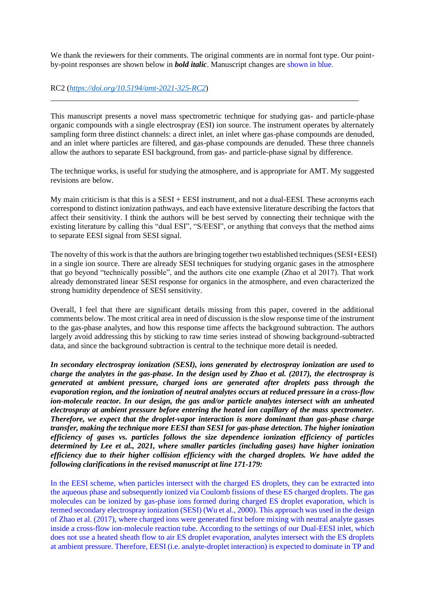We thank the reviewers for their comments. The original comments are in normal font type. Our pointby-point responses are shown below in *bold italic*. Manuscript changes are shown in blue.

#### RC2 (*<https://doi.org/10.5194/amt-2021-325-RC2>*)

 $\overline{a}$ 

This manuscript presents a novel mass spectrometric technique for studying gas- and particle-phase organic compounds with a single electrospray (ESI) ion source. The instrument operates by alternately sampling form three distinct channels: a direct inlet, an inlet where gas-phase compounds are denuded, and an inlet where particles are filtered, and gas-phase compounds are denuded. These three channels allow the authors to separate ESI background, from gas- and particle-phase signal by difference.

The technique works, is useful for studying the atmosphere, and is appropriate for AMT. My suggested revisions are below.

My main criticism is that this is a  $SESI + EESI$  instrument, and not a dual-EESI. These acronyms each correspond to distinct ionization pathways, and each have extensive literature describing the factors that affect their sensitivity. I think the authors will be best served by connecting their technique with the existing literature by calling this "dual ESI", "S/EESI", or anything that conveys that the method aims to separate EESI signal from SESI signal.

The novelty of this work is that the authors are bringing together two established techniques (SESI+EESI) in a single ion source. There are already SESI techniques for studying organic gases in the atmosphere that go beyond "technically possible", and the authors cite one example (Zhao et al 2017). That work already demonstrated linear SESI response for organics in the atmosphere, and even characterized the strong humidity dependence of SESI sensitivity.

Overall, I feel that there are significant details missing from this paper, covered in the additional comments below. The most critical area in need of discussion is the slow response time of the instrument to the gas-phase analytes, and how this response time affects the background subtraction. The authors largely avoid addressing this by sticking to raw time series instead of showing background-subtracted data, and since the background subtraction is central to the technique more detail is needed.

*In secondary electrospray ionization (SESI), ions generated by electrospray ionization are used to charge the analytes in the gas-phase. In the design used by Zhao et al. (2017), the electrospray is generated at ambient pressure, charged ions are generated after droplets pass through the evaporation region, and the ionization of neutral analytes occurs at reduced pressure in a cross-flow ion-molecule reactor. In our design, the gas and/or particle analytes intersect with an unheated electrospray at ambient pressure before entering the heated ion capillary of the mass spectrometer. Therefore, we expect that the droplet-vapor interaction is more dominant than gas-phase charge transfer, making the technique more EESI than SESI for gas-phase detection. The higher ionization efficiency of gases vs. particles follows the size dependence ionization efficiency of particles determined by Lee et al., 2021, where smaller particles (including gases) have higher ionization efficiency due to their higher collision efficiency with the charged droplets. We have added the following clarifications in the revised manuscript at line 171-179:*

In the EESI scheme, when particles intersect with the charged ES droplets, they can be extracted into the aqueous phase and subsequently ionized via Coulomb fissions of these ES charged droplets. The gas molecules can be ionized by gas-phase ions formed during charged ES droplet evaporation, which is termed secondary electrospray ionization (SESI) (Wu et al., 2000). This approach was used in the design of Zhao et al. (2017), where charged ions were generated first before mixing with neutral analyte gasses inside a cross-flow ion-molecule reaction tube. According to the settings of our Dual-EESI inlet, which does not use a heated sheath flow to air ES droplet evaporation, analytes intersect with the ES droplets at ambient pressure. Therefore, EESI (i.e. analyte-droplet interaction) is expected to dominate in TP and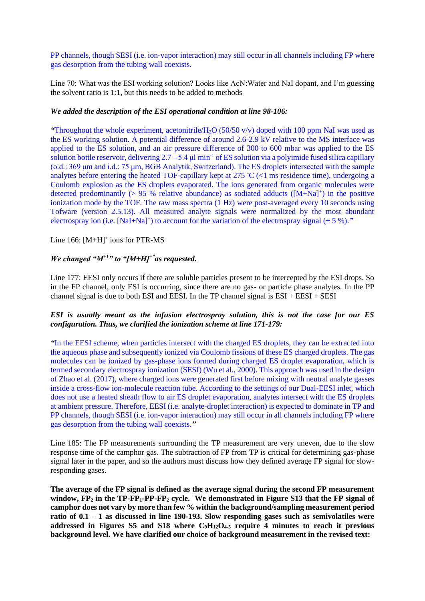PP channels, though SESI (i.e. ion-vapor interaction) may still occur in all channels including FP where gas desorption from the tubing wall coexists.

Line 70: What was the ESI working solution? Looks like AcN:Water and NaI dopant, and I'm guessing the solvent ratio is 1:1, but this needs to be added to methods

## *We added the description of the ESI operational condition at line 98-106:*

*"*Throughout the whole experiment, acetonitrile/H2O (50/50 v/v) doped with 100 ppm NaI was used as the ES working solution. A potential difference of around 2.6-2.9 kV relative to the MS interface was applied to the ES solution, and an air pressure difference of 300 to 600 mbar was applied to the ES solution bottle reservoir, delivering 2.7 – 5.4 μl min<sup>-1</sup> of ES solution via a polyimide fused silica capillary (o.d.: 369 μm and i.d.: 75 μm, BGB Analytik, Switzerland). The ES droplets intersected with the sample analytes before entering the heated TOF-capillary kept at 275 ◦C (<1 ms residence time), undergoing a Coulomb explosion as the ES droplets evaporated. The ions generated from organic molecules were detected predominantly  $(> 95 %$  relative abundance) as sodiated adducts  $([M+Na]^+)$  in the positive ionization mode by the TOF. The raw mass spectra (1 Hz) were post-averaged every 10 seconds using Tofware (version 2.5.13). All measured analyte signals were normalized by the most abundant electrospray ion (i.e.  $[NaI+Na]^+$ ) to account for the variation of the electrospray signal ( $\pm$  5 %).<sup>"</sup>

Line  $166$ :  $[M+H]^+$  ions for PTR-MS

# *We changed "M+1" to "[M+H]+"as requested.*

Line 177: EESI only occurs if there are soluble particles present to be intercepted by the ESI drops. So in the FP channel, only ESI is occurring, since there are no gas- or particle phase analytes. In the PP channel signal is due to both ESI and EESI. In the TP channel signal is  $ESI + EESI + SESI$ 

## *ESI is usually meant as the infusion electrospray solution, this is not the case for our ES configuration. Thus, we clarified the ionization scheme at line 171-179:*

*"*In the EESI scheme, when particles intersect with the charged ES droplets, they can be extracted into the aqueous phase and subsequently ionized via Coulomb fissions of these ES charged droplets. The gas molecules can be ionized by gas-phase ions formed during charged ES droplet evaporation, which is termed secondary electrospray ionization (SESI) (Wu et al., 2000). This approach was used in the design of Zhao et al. (2017), where charged ions were generated first before mixing with neutral analyte gasses inside a cross-flow ion-molecule reaction tube. According to the settings of our Dual-EESI inlet, which does not use a heated sheath flow to air ES droplet evaporation, analytes intersect with the ES droplets at ambient pressure. Therefore, EESI (i.e. analyte-droplet interaction) is expected to dominate in TP and PP channels, though SESI (i.e. ion-vapor interaction) may still occur in all channels including FP where gas desorption from the tubing wall coexists.*"*

Line 185: The FP measurements surrounding the TP measurement are very uneven, due to the slow response time of the camphor gas. The subtraction of FP from TP is critical for determining gas-phase signal later in the paper, and so the authors must discuss how they defined average FP signal for slowresponding gases.

**The average of the FP signal is defined as the average signal during the second FP measurement window, FP<sup>2</sup> in the TP-FP1-PP-FP<sup>2</sup> cycle. We demonstrated in Figure S13 that the FP signal of camphor does not vary by more than few % within the background/sampling measurement period ratio of 0.1 – 1 as discussed in line 190-193. Slow responding gases such as semivolatiles were addressed in Figures S5 and S18 where C9H12O4-5 require 4 minutes to reach it previous background level. We have clarified our choice of background measurement in the revised text:**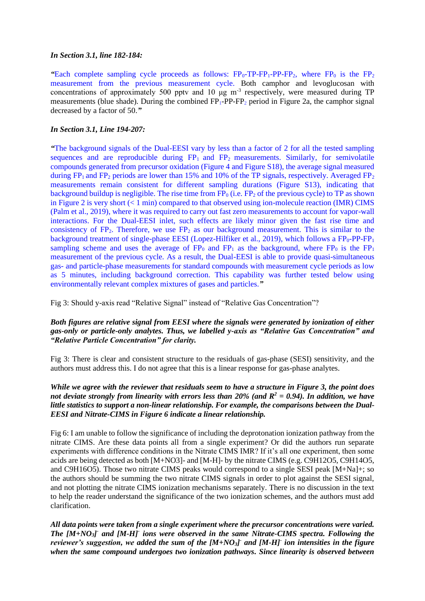#### *In Section 3.1, line 182-184:*

**"Each complete sampling cycle proceeds as follows:**  $FP_0-TP-FP_1-PP-FP_2$ **, where**  $FP_0$  **is the**  $FP_2$ measurement from the previous measurement cycle. Both camphor and levoglucosan with concentrations of approximately 500 pptv and 10  $\mu$ g m<sup>-3</sup> respectively, were measured during TP measurements (blue shade). During the combined  $FP_1-PP-FP_2$  period in Figure 2a, the camphor signal decreased by a factor of 50.*"*

## *In Section 3.1, Line 194-207:*

*"*The background signals of the Dual-EESI vary by less than a factor of 2 for all the tested sampling sequences and are reproducible during  $FP_1$  and  $FP_2$  measurements. Similarly, for semivolatile compounds generated from precursor oxidation (Figure 4 and Figure S18), the average signal measured during  $FP_1$  and  $FP_2$  periods are lower than 15% and 10% of the TP signals, respectively. Averaged  $FP_2$ measurements remain consistent for different sampling durations (Figure S13), indicating that background buildup is negligible. The rise time from  $\overline{FP}_0$  (i.e.  $\overline{FP}_2$  of the previous cycle) to TP as shown in Figure 2 is very short (< 1 min) compared to that observed using ion-molecule reaction (IMR) CIMS (Palm et al., 2019), where it was required to carry out fast zero measurements to account for vapor-wall interactions. For the Dual-EESI inlet, such effects are likely minor given the fast rise time and consistency of  $FP_2$ . Therefore, we use  $FP_2$  as our background measurement. This is similar to the background treatment of single-phase EESI (Lopez-Hilfiker et al., 2019), which follows a  $FP_0-PP-FP_1$ sampling scheme and uses the average of  $FP_0$  and  $FP_1$  as the background, where  $FP_0$  is the  $FP_1$ measurement of the previous cycle. As a result, the Dual-EESI is able to provide quasi-simultaneous gas- and particle-phase measurements for standard compounds with measurement cycle periods as low as 5 minutes, including background correction. This capability was further tested below using environmentally relevant complex mixtures of gases and particles.*"* 

Fig 3: Should y-axis read "Relative Signal" instead of "Relative Gas Concentration"?

## *Both figures are relative signal from EESI where the signals were generated by ionization of either gas-only or particle-only analytes. Thus, we labelled y-axis as "Relative Gas Concentration" and "Relative Particle Concentration" for clarity.*

Fig 3: There is clear and consistent structure to the residuals of gas-phase (SESI) sensitivity, and the authors must address this. I do not agree that this is a linear response for gas-phase analytes.

## *While we agree with the reviewer that residuals seem to have a structure in Figure 3, the point does not deviate strongly from linearity with errors less than 20% (and R<sup>2</sup> = 0.94). In addition, we have little statistics to support a non-linear relationship. For example, the comparisons between the Dual-EESI and Nitrate-CIMS in Figure 6 indicate a linear relationship.*

Fig 6: I am unable to follow the significance of including the deprotonation ionization pathway from the nitrate CIMS. Are these data points all from a single experiment? Or did the authors run separate experiments with difference conditions in the Nitrate CIMS IMR? If it's all one experiment, then some acids are being detected as both [M+NO3]- and [M-H]- by the nitrate CIMS (e.g. C9H12O5, C9H14O5, and C9H16O5). Those two nitrate CIMS peaks would correspond to a single SESI peak [M+Na]+; so the authors should be summing the two nitrate CIMS signals in order to plot against the SESI signal, and not plotting the nitrate CIMS ionization mechanisms separately. There is no discussion in the text to help the reader understand the significance of the two ionization schemes, and the authors must add clarification.

*All data points were taken from a single experiment where the precursor concentrations were varied. The [M+NO3] - and [M-H]- ions were observed in the same Nitrate-CIMS spectra. Following the reviewer's suggestion, we added the sum of the [M+NO3] - and [M-H]- ion intensities in the figure when the same compound undergoes two ionization pathways. Since linearity is observed between*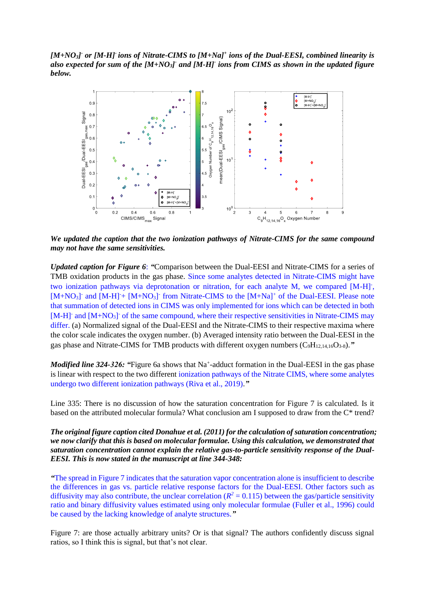*[M+NO3] - or [M-H]- ions of Nitrate-CIMS to [M+Na]<sup>+</sup> ions of the Dual-EESI, combined linearity is*  also expected for sum of the  $[M+NO_3]$  and  $[M-H]$  ions from CIMS as shown in the updated figure *below.* 



*We updated the caption that the two ionization pathways of Nitrate-CIMS for the same compound may not have the same sensitivities.*

*Updated caption for Figure 6*: *"*Comparison between the Dual-EESI and Nitrate-CIMS for a series of TMB oxidation products in the gas phase. Since some analytes detected in Nitrate-CIMS might have two ionization pathways via deprotonation or nitration, for each analyte M, we compared [M-H]<sup>-</sup>, [M+NO<sub>3</sub>] and [M-H]<sup>-</sup>+ [M+NO<sub>3</sub>] from Nitrate-CIMS to the [M+Na]<sup>+</sup> of the Dual-EESI. Please note that summation of detected ions in CIMS was only implemented for ions which can be detected in both [M-H]<sup>-</sup> and [M+NO<sub>3</sub>]<sup>-</sup> of the same compound, where their respective sensitivities in Nitrate-CIMS may differ. (a) Normalized signal of the Dual-EESI and the Nitrate-CIMS to their respective maxima where the color scale indicates the oxygen number. (b) Averaged intensity ratio between the Dual-EESI in the gas phase and Nitrate-CIMS for TMB products with different oxygen numbers (C<sub>9</sub>H<sub>12,14,16</sub>O<sub>3-8</sub>)."

Modified line 324-326: "Figure 6a shows that Na<sup>+</sup>-adduct formation in the Dual-EESI in the gas phase is linear with respect to the two different ionization pathways of the Nitrate CIMS, where some analytes undergo two different ionization pathways (Riva et al., 2019).*"*

Line 335: There is no discussion of how the saturation concentration for Figure 7 is calculated. Is it based on the attributed molecular formula? What conclusion am I supposed to draw from the C\* trend?

*The original figure caption cited Donahue et al. (2011) for the calculation of saturation concentration; we now clarify that this is based on molecular formulae. Using this calculation, we demonstrated that saturation concentration cannot explain the relative gas-to-particle sensitivity response of the Dual-EESI. This is now stated in the manuscript at line 344-348:*

*"*The spread in Figure 7 indicates that the saturation vapor concentration alone is insufficient to describe the differences in gas vs. particle relative response factors for the Dual-EESI. Other factors such as diffusivity may also contribute, the unclear correlation ( $R^2$  = 0.115) between the gas/particle sensitivity ratio and binary diffusivity values estimated using only molecular formulae (Fuller et al., 1996) could be caused by the lacking knowledge of analyte structures.*"*

Figure 7: are those actually arbitrary units? Or is that signal? The authors confidently discuss signal ratios, so I think this is signal, but that's not clear.